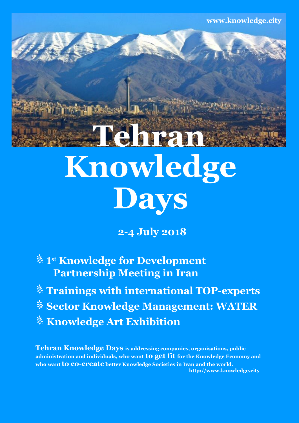**www.knowledge.city**

# $Knowledge$ **Tehran Days**

**2-4 July 2018**

**1 st Knowledge for Development Partnership Meeting in Iran**

**Trainings with international TOP-experts**

**Sector Knowledge Management: WATER**

*<u><b>Knowledge Art Exhibition*</u>

**Tehran Knowledge Days is addressing companies, organisations, public administration and individuals, who want to get fit for the Knowledge Economy and who want to co-create better Knowledge Societies in Iran and the world. [http://www.knowledge.city](http://vienna.knowledge.city/)**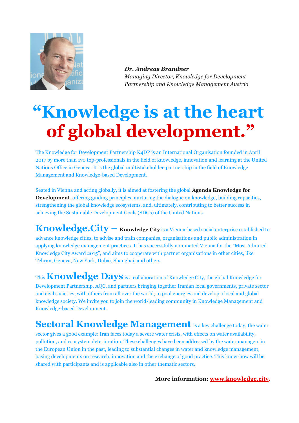

*Dr. Andreas Brandner Managing Director, Knowledge for Development Partnership and Knowledge Management Austria*

## **"Knowledge is at the heart of global development. "**

The Knowledge for Development Partnership K4DP is an International Organisation founded in April 2017 by more than 170 top-professionals in the field of knowledge, innovation and learning at the United Nations Office in Geneva. It is the global multistakeholder-partnership in the field of Knowledge Management and Knowledge-based Development.

Seated in Vienna and acting globally, it is aimed at fostering the global **Agenda Knowledge for Development**, offering guiding principles, nurturing the dialogue on knowledge, building capacities, strengthening the global knowledge ecosystems, and, ultimately, contributing to better success in achieving the Sustainable Development Goals (SDGs) of the United Nations.

**Knowledge.City – Knowledge City** is a Vienna-based social enterprise established to advance knowledge cities, to advise and train companies, organisations and public administration in applying knowledge management practices. It has successfully nominated Vienna for the "Most Admired Knowledge City Award 2015", and aims to cooperate with partner organisations in other cities, like Tehran, Geneva, New York, Dubai, Shanghai, and others.

This **Knowledge Days** is a collaboration of Knowledge City, the global Knowledge for Development Partnership, AQC, and partners bringing together Iranian local governments, private sector and civil societies, with others from all over the world, to pool energies and develop a local and global knowledge society. We invite you to join the world-leading community in Knowledge Management and Knowledge-based Development.

**Sectoral Knowledge Management** is a key challenge today, the water sector gives a good example: Iran faces today a severe water crisis, with effects on water availability, pollution, and ecosystem deterioration. These challenges have been addressed by the water managers in the European Union in the past, leading to substantial changes in water and knowledge management, basing developments on research, innovation and the exchange of good practice. This know-how will be shared with participants and is applicable also in other thematic sectors.

**More information: [www.knowledge.city.](http://www.knowledge.city/)**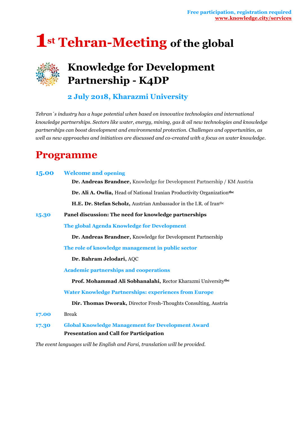## **1st Tehran-Meeting of the global**

### **Knowledge for Development Partnership - K4DP**

#### **2 July 2018, Kharazmi University**

*Tehran´s industry has a huge potential when based on innovative technologies and international knowledge partnerships. Sectors like water, energy, mining, gas & oil new technologies and knowledge partnerships can boost development and environmental protection. Challenges and opportunities, as well as new approaches and initiatives are discussed and co-created with a focus on water knowledge.*

### **Programme**

|       | <b>15.00</b> Welcome and opening                                                                           |  |  |  |
|-------|------------------------------------------------------------------------------------------------------------|--|--|--|
|       | Dr. Andreas Brandner, Knowledge for Development Partnership / KM Austria                                   |  |  |  |
|       | Dr. Ali A. Owlia, Head of National Iranian Productivity Organizationthe                                    |  |  |  |
|       | H.E. Dr. Stefan Scholz, Austrian Ambassador in the I.R. of Iranthc                                         |  |  |  |
| 15.30 | Panel discussion: The need for knowledge partnerships                                                      |  |  |  |
|       | The global Agenda Knowledge for Development                                                                |  |  |  |
|       | Dr. Andreas Brandner, Knowledge for Development Partnership                                                |  |  |  |
|       | The role of knowledge management in public sector                                                          |  |  |  |
|       | Dr. Bahram Jelodari, AQC                                                                                   |  |  |  |
|       | <b>Academic partnerships and cooperations</b>                                                              |  |  |  |
|       | Prof. Mohammad Ali Sobhanalahi, Rector Kharazmi Universitythe                                              |  |  |  |
|       | <b>Water Knowledge Partnerships: experiences from Europe</b>                                               |  |  |  |
|       | Dir. Thomas Dworak, Director Fresh-Thoughts Consulting, Austria                                            |  |  |  |
| 17.00 | <b>Break</b>                                                                                               |  |  |  |
| 17.30 | <b>Global Knowledge Management for Development Award</b><br><b>Presentation and Call for Participation</b> |  |  |  |

*The event languages will be English and Farsi, translation will be provided.*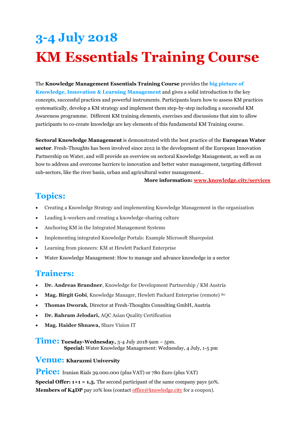## **3-4 July 2018 KM Essentials Training Course**

The **Knowledge Management Essentials Training Course** provides the **big picture of Knowledge, Innovation & Learning Management** and gives a solid introduction to the key concepts, successful practices and powerful instruments. Participants learn how to assess KM practices systematically, develop a KM strategy and implement them step-by-step including a successful KM Awareness programme. Different KM training elements, exercises and discussions that aim to allow participants to co-create knowledge are key elements of this fundamental KM Training course.

**Sectoral Knowledge Management** is demonstrated with the best practice of the **European Water sector**. Fresh-Thoughts has been involved since 2012 in the development of the European Innovation Partnership on Water, and will provide an overview on sectoral Knowledge Management, as well as on how to address and overcome barriers to innovation and better water management, targeting different sub-sectors, like the river basin, urban and agricultural water management..

#### **More information: [www.knowledge.city/services](http://www.knowledge.city/essentials)**

### **Topics:**

- Creating a Knowledge Strategy and implementing Knowledge Management in the organization
- Leading k-workers and creating a knowledge-sharing culture
- Anchoring KM in the Integrated Management Systems
- Implementing integrated Knowledge Portals: Example Microsoft Sharepoint
- Learning from pioneers: KM at Hewlett Packard Enterprise
- Water Knowledge Management: How to manage and advance knowledge in a sector

#### **Trainers:**

- **Dr. Andreas Brandner**, Knowledge for Development Partnership / KM Austria
- **Mag. Birgit Gobi**, Knowledge Manager, Hewlett Packard Enterprise (remote) the
- **Thomas Dworak**, Director at Fresh-Thoughts Consulting GmbH, Austria
- **Dr. Bahram Jelodari,** AQC Asian Quality Certification
- **Mag. Haider Shnawa,** Share Vision IT

**Time: Tuesday-Wednesday,** 3-<sup>4</sup> July <sup>2018</sup> 9am – 5pm. **Special:** Water Knowledge Management: Wednesday, 4 July, 1-5 pm

#### **Venue: Kharazmi University**

**Price:** Iranian Rials 39.000.000 (plus VAT) or 780 Euro (plus VAT)

**Special Offer: 1+1 = 1,5.** The second participant of the same company pays 50%. **Members of K4DP** pay 10% less (contac[t office@knowledge.city](mailto:office@knowledge.city) for a coupon).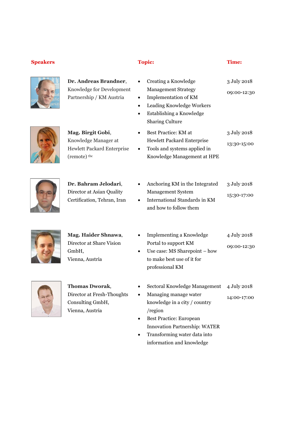#### **Speakers Topic: Time:**



**Dr. Andreas Brandner**, Knowledge for Development Partnership / KM Austria

**Mag. Birgit Gobi**, Knowledge Manager at Hewlett Packard Enterprise

(remote) tbc

- Creating a Knowledge Management Strategy Implementation of KM 3 July 2018 09:00-12:30
- Leading Knowledge Workers
- Establishing a Knowledge
- Sharing Culture Best Practice: KM at Hewlett Packard Enterprise 3 July 2018 13:30-15:00
- Tools and systems applied in Knowledge Management at HPE



| Dr. Bahram Jelodari,        |  | Anchoring KM in the Integrated | 3 July 2018 |
|-----------------------------|--|--------------------------------|-------------|
| Director at Asian Quality   |  | <b>Management System</b>       | 15:30-17:00 |
| Certification, Tehran, Iran |  | International Standards in KM  |             |
|                             |  | and how to follow them         |             |



- **Mag. Haider Shnawa**, Director at Share Vision GmbH, Vienna, Austria
- Implementing a Knowledge Portal to support KM Use case: MS Sharepoint – how to make best use of it for professional KM 4 July 2018 09:00-12:30



**Thomas Dworak**, Director at Fresh-Thoughts Consulting GmbH, Vienna, Austria

- Sectoral Knowledge Management 4 July 2018
- Managing manage water knowledge in a city / country /region 14:00-17:00
- Best Practice: European Innovation Partnership: WATER
- Transforming water data into information and knowledge